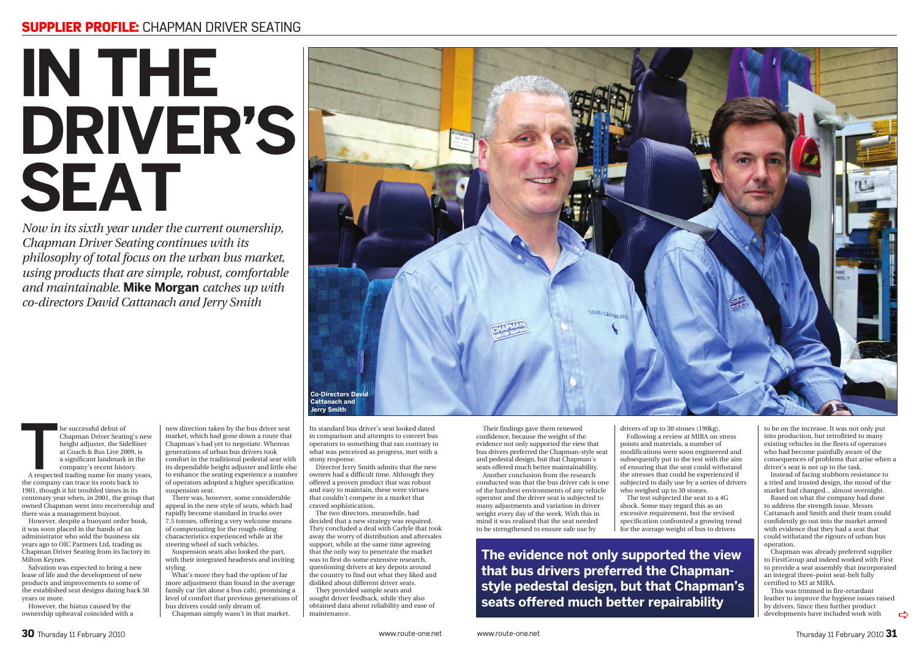## SUPPLIER PROFILE: CHAPMAN DRIVER SEATING

## **IN THE DRIVER'S SEAT**

The successful debut of Chapman Driver Seating's new height adjuster, the SideRiser at Coach & Bus Live 2009, is a significant landmark in the company's recent history. A respected trading name for many years, Chapman Driver Seating's new height adjuster, the SideRiser at Coach & Bus Live 2009, is a significant landmark in the company's recent history.

the company can trace its roots back to 1901, though it hit troubled times in its centenary year when, in 2001, the group that owned Chapman went into receivership and there was a management buyout.

new direction taken by the bus driver seat market, which had gone down a route that Chapman's had yet to negotiate. Whereas generations of urban bus drivers took comfort in the traditional pedestal seat with its dependable height adjuster and little else to enhance the seating experience a number of operators adopted a higher specification suspension seat.

However, despite a buoyant order book, it was soon placed in the hands of an administrator who sold the business six years ago to OIC Partners Ltd, trading as Chapman Driver Seating from its factory in Milton Keynes.

Salvation was expected to bring a new lease of life and the development of new products and improvements to some of the established seat designs dating back 50 years or more.

However, the hiatus caused by the ownership upheaval coincided with a

There was, however, some considerable appeal in the new style of seats, which had rapidly become standard in trucks over 7.5 tonnes, offering a very welcome means of compensating for the rough-riding characteristics experienced while at the steering wheel of such vehicles.

Suspension seats also looked the part, with their integrated headrests and inviting styling.

What's more they had the option of far more adjustment than found in the average family car (let alone a bus cab), promising a level of comfort that previous generations of bus drivers could only dream of.

drivers of up to 30 stones (190kg). Following a review at MIRA on stress points and materials, a number of modifications were soon engineered and subsequently put to the test with the aim of ensuring that the seat could withstand the stresses that could be experienced if subjected to daily use by a series of drivers who weighed up to 30 stones.

Chapman simply wasn't in that market.

Its standard bus driver's seat looked dated in comparison and attempts to convert bus operators to something that ran contrary to what was perceived as progress, met with a stony response.

Director Jerry Smith admits that the new owners had a difficult time. Although they offered a proven product that was robust and easy to maintain, these were virtues that couldn't compete in a market that craved sophistication.

The two directors, meanwhile, had decided that a new strategy was required. They concluded a deal with Carlyle that took away the worry of distribution and aftersales support, while at the same time agreeing that the only way to penetrate the market was to first do some extensive research, questioning drivers at key depots around the country to find out what they liked and disliked about different driver seats.

They provided sample seats and sought driver feedback, while they also obtained data about reliability and ease of maintenance.

*Now in its sixth year under the current ownership, Chapman Driver Seating continues with its philosophy of total focus on the urban bus market, using products that are simple, robust, comfortable and maintainable.* **Mike Morgan** *catches up with co-directors David Cattanach and Jerry Smith*

> Their findings gave them renewed confidence, because the weight of the evidence not only supported the view that bus drivers preferred the Chapman-style seat and pedestal design, but that Chapman's seats offered much better maintainability. Another conclusion from the research

> conducted was that the bus driver cab is one of the harshest environments of any vehicle operator and the driver seat is subjected to many adjustments and variation in driver weight every day of the week. With this in mind it was realised that the seat needed to be strengthened to ensure safe use by

The test subjected the seat to a 4G shock. Some may regard this as an excessive requirement, but the revised specification confronted a growing trend for the average weight of bus to drivers

to be on the increase. It was not only put into production, but retrofitted to many existing vehicles in the fleets of operators who had become painfully aware of the consequences of problems that arise when a driver's seat is not up to the task.

Instead of facing stubborn resistance to a tried and trusted design, the mood of the market had changed... almost overnight.

Based on what the company had done to address the strength issue, Messrs Cattanach and Smith and their team could confidently go out into the market armed with evidence that they had a seat that could withstand the rigours of urban bus operation.

Chapman was already preferred supplier to FirstGroup and indeed worked with First to provide a seat assembly that incorporated an integral three-point seat-belt fully certified to M3 at MIRA.

This was trimmed in fire-retardant leather to improve the hygiene issues raised by drivers. Since then further product developments have included work with

 $\Rightarrow$ 



**The evidence not only supported the view that bus drivers preferred the Chapmanstyle pedestal design, but that Chapman's seats offered much better repairability**